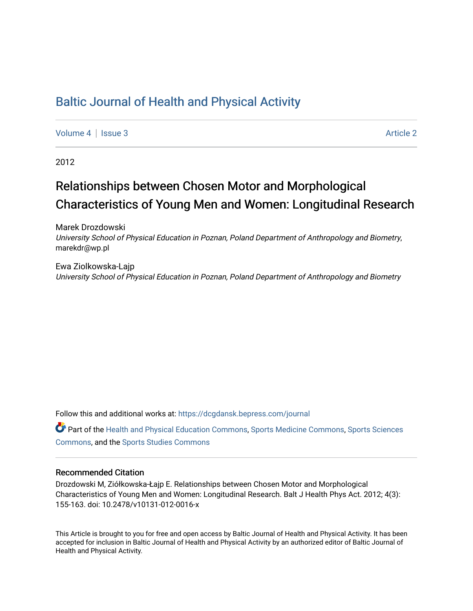## [Baltic Journal of Health and Physical Activity](https://dcgdansk.bepress.com/journal)

[Volume 4](https://dcgdansk.bepress.com/journal/vol4) | [Issue 3](https://dcgdansk.bepress.com/journal/vol4/iss3) Article 2

2012

# Relationships between Chosen Motor and Morphological Characteristics of Young Men and Women: Longitudinal Research

Marek Drozdowski University School of Physical Education in Poznan, Poland Department of Anthropology and Biometry, marekdr@wp.pl

Ewa Ziolkowska-Lajp University School of Physical Education in Poznan, Poland Department of Anthropology and Biometry

Follow this and additional works at: [https://dcgdansk.bepress.com/journal](https://dcgdansk.bepress.com/journal?utm_source=dcgdansk.bepress.com%2Fjournal%2Fvol4%2Fiss3%2F2&utm_medium=PDF&utm_campaign=PDFCoverPages)

Part of the [Health and Physical Education Commons](http://network.bepress.com/hgg/discipline/1327?utm_source=dcgdansk.bepress.com%2Fjournal%2Fvol4%2Fiss3%2F2&utm_medium=PDF&utm_campaign=PDFCoverPages), [Sports Medicine Commons,](http://network.bepress.com/hgg/discipline/1331?utm_source=dcgdansk.bepress.com%2Fjournal%2Fvol4%2Fiss3%2F2&utm_medium=PDF&utm_campaign=PDFCoverPages) [Sports Sciences](http://network.bepress.com/hgg/discipline/759?utm_source=dcgdansk.bepress.com%2Fjournal%2Fvol4%2Fiss3%2F2&utm_medium=PDF&utm_campaign=PDFCoverPages) [Commons](http://network.bepress.com/hgg/discipline/759?utm_source=dcgdansk.bepress.com%2Fjournal%2Fvol4%2Fiss3%2F2&utm_medium=PDF&utm_campaign=PDFCoverPages), and the [Sports Studies Commons](http://network.bepress.com/hgg/discipline/1198?utm_source=dcgdansk.bepress.com%2Fjournal%2Fvol4%2Fiss3%2F2&utm_medium=PDF&utm_campaign=PDFCoverPages) 

#### Recommended Citation

Drozdowski M, Ziółkowska-Łajp E. Relationships between Chosen Motor and Morphological Characteristics of Young Men and Women: Longitudinal Research. Balt J Health Phys Act. 2012; 4(3): 155-163. doi: 10.2478/v10131-012-0016-x

This Article is brought to you for free and open access by Baltic Journal of Health and Physical Activity. It has been accepted for inclusion in Baltic Journal of Health and Physical Activity by an authorized editor of Baltic Journal of Health and Physical Activity.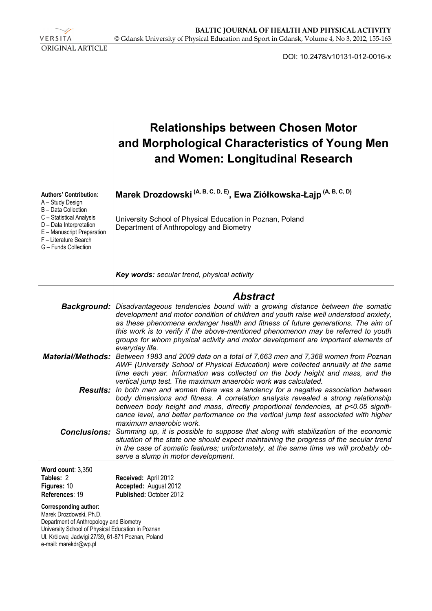VERSITA ORIGINAL ARTICLE

DOI: 10.2478/v10131-012-0016-x

|                                                                                                                                                                                                                | <b>Relationships between Chosen Motor</b><br>and Morphological Characteristics of Young Men<br>and Women: Longitudinal Research                                                                                                                                                                                                                                                                                                                       |
|----------------------------------------------------------------------------------------------------------------------------------------------------------------------------------------------------------------|-------------------------------------------------------------------------------------------------------------------------------------------------------------------------------------------------------------------------------------------------------------------------------------------------------------------------------------------------------------------------------------------------------------------------------------------------------|
| <b>Authors' Contribution:</b><br>A - Study Design<br>B - Data Collection<br>C - Statistical Analysis<br>D - Data Interpretation<br>E - Manuscript Preparation<br>F - Literature Search<br>G - Funds Collection | Marek Drozdowski <sup>(A, B, C, D, E)</sup> , Ewa Ziółkowska-Łajp <sup>(A, B, C, D)</sup><br>University School of Physical Education in Poznan, Poland<br>Department of Anthropology and Biometry                                                                                                                                                                                                                                                     |
|                                                                                                                                                                                                                | Key words: secular trend, physical activity                                                                                                                                                                                                                                                                                                                                                                                                           |
| <b>Background:</b>                                                                                                                                                                                             | <b>Abstract</b><br>Disadvantageous tendencies bound with a growing distance between the somatic<br>development and motor condition of children and youth raise well understood anxiety,<br>as these phenomena endanger health and fitness of future generations. The aim of<br>this work is to verify if the above-mentioned phenomenon may be referred to youth<br>groups for whom physical activity and motor development are important elements of |
| <b>Material/Methods:</b>                                                                                                                                                                                       | everyday life.<br>Between 1983 and 2009 data on a total of 7,663 men and 7,368 women from Poznan<br>AWF (University School of Physical Education) were collected annually at the same<br>time each year. Information was collected on the body height and mass, and the                                                                                                                                                                               |
| <b>Results:</b>                                                                                                                                                                                                | vertical jump test. The maximum anaerobic work was calculated.<br>In both men and women there was a tendency for a negative association between<br>body dimensions and fitness. A correlation analysis revealed a strong relationship<br>between body height and mass, directly proportional tendencies, at p<0.05 signifi-<br>cance level, and better performance on the vertical jump test associated with higher                                   |
| <b>Conclusions:</b>                                                                                                                                                                                            | maximum anaerobic work.<br>Summing up, it is possible to suppose that along with stabilization of the economic<br>situation of the state one should expect maintaining the progress of the secular trend<br>in the case of somatic features; unfortunately, at the same time we will probably ob-<br>serve a slump in motor development.                                                                                                              |
| Word count: 3,350<br>Tables: 2<br>Figures: 10<br>References: 19                                                                                                                                                | Received: April 2012<br>Accepted: August 2012<br>Published: October 2012                                                                                                                                                                                                                                                                                                                                                                              |
| Corresponding author:<br>Marek Drozdowski, Ph.D.<br>Department of Anthropology and Biometry                                                                                                                    |                                                                                                                                                                                                                                                                                                                                                                                                                                                       |

University School of Physical Education in Poznan Ul. Królowej Jadwigi 27/39, 61-871 Poznan, Poland e-mail: marekdr@wp.pl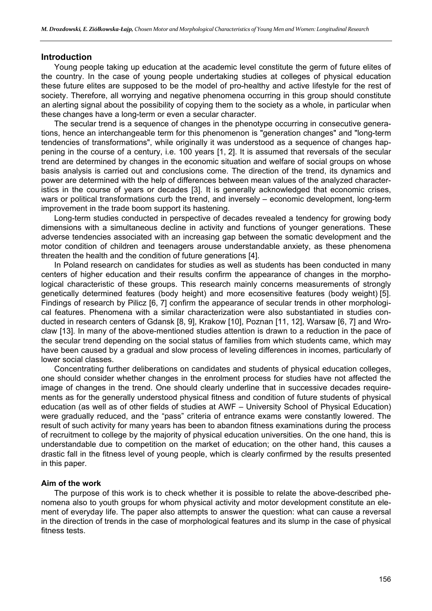#### **Introduction**

Young people taking up education at the academic level constitute the germ of future elites of the country. In the case of young people undertaking studies at colleges of physical education these future elites are supposed to be the model of pro-healthy and active lifestyle for the rest of society. Therefore, all worrying and negative phenomena occurring in this group should constitute an alerting signal about the possibility of copying them to the society as a whole, in particular when these changes have a long-term or even a secular character.

The secular trend is a sequence of changes in the phenotype occurring in consecutive generations, hence an interchangeable term for this phenomenon is "generation changes" and "long-term tendencies of transformations", while originally it was understood as a sequence of changes happening in the course of a century, i.e. 100 years [1, 2]. It is assumed that reversals of the secular trend are determined by changes in the economic situation and welfare of social groups on whose basis analysis is carried out and conclusions come. The direction of the trend, its dynamics and power are determined with the help of differences between mean values of the analyzed characteristics in the course of years or decades [3]. It is generally acknowledged that economic crises, wars or political transformations curb the trend, and inversely – economic development, long-term improvement in the trade boom support its hastening.

Long-term studies conducted in perspective of decades revealed a tendency for growing body dimensions with a simultaneous decline in activity and functions of younger generations. These adverse tendencies associated with an increasing gap between the somatic development and the motor condition of children and teenagers arouse understandable anxiety, as these phenomena threaten the health and the condition of future generations [4].

In Poland research on candidates for studies as well as students has been conducted in many centers of higher education and their results confirm the appearance of changes in the morphological characteristic of these groups. This research mainly concerns measurements of strongly genetically determined features (body height) and more ecosensitive features (body weight) [5]. Findings of research by Pilicz [6, 7] confirm the appearance of secular trends in other morphological features. Phenomena with a similar characterization were also substantiated in studies conducted in research centers of Gdansk [8, 9], Krakow [10], Poznan [11, 12], Warsaw [6, 7] and Wroclaw [13]. In many of the above-mentioned studies attention is drawn to a reduction in the pace of the secular trend depending on the social status of families from which students came, which may have been caused by a gradual and slow process of leveling differences in incomes, particularly of lower social classes.

Concentrating further deliberations on candidates and students of physical education colleges, one should consider whether changes in the enrolment process for studies have not affected the image of changes in the trend. One should clearly underline that in successive decades requirements as for the generally understood physical fitness and condition of future students of physical education (as well as of other fields of studies at AWF – University School of Physical Education) were gradually reduced, and the "pass" criteria of entrance exams were constantly lowered. The result of such activity for many years has been to abandon fitness examinations during the process of recruitment to college by the majority of physical education universities. On the one hand, this is understandable due to competition on the market of education; on the other hand, this causes a drastic fall in the fitness level of young people, which is clearly confirmed by the results presented in this paper.

#### **Aim of the work**

The purpose of this work is to check whether it is possible to relate the above-described phenomena also to youth groups for whom physical activity and motor development constitute an element of everyday life. The paper also attempts to answer the question: what can cause a reversal in the direction of trends in the case of morphological features and its slump in the case of physical fitness tests.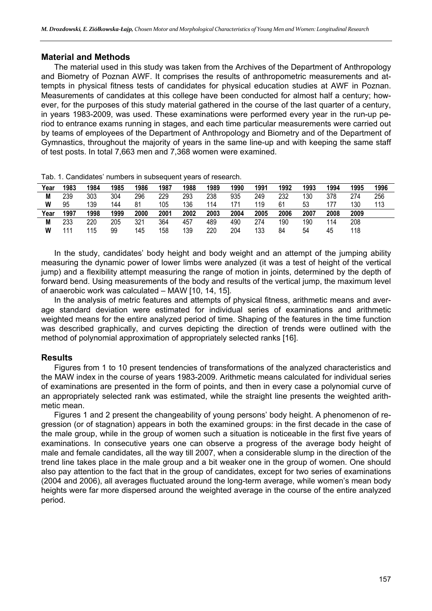#### **Material and Methods**

The material used in this study was taken from the Archives of the Department of Anthropology and Biometry of Poznan AWF. It comprises the results of anthropometric measurements and attempts in physical fitness tests of candidates for physical education studies at AWF in Poznan. Measurements of candidates at this college have been conducted for almost half a century; however, for the purposes of this study material gathered in the course of the last quarter of a century, in years 1983-2009, was used. These examinations were performed every year in the run-up period to entrance exams running in stages, and each time particular measurements were carried out by teams of employees of the Department of Anthropology and Biometry and of the Department of Gymnastics, throughout the majority of years in the same line-up and with keeping the same staff of test posts. In total 7,663 men and 7,368 women were examined.

| Year | 1983 | 1984 | 1985 | 1986 | 1987 | 1988 | 1989 | 1990 | 1991 | 1992 | 1993 | 1994 | 1995 | 1996 |
|------|------|------|------|------|------|------|------|------|------|------|------|------|------|------|
| M    | 239  | 303  | 304  | 296  | 229  | 293  | 238  | 935  | 249  | 232  | 130  | 378  | 274  | 256  |
| W    | 95   | 139  | 144  | 81   | 105  | 136  | 114  | 171  | 119  | 61   | 53   | 177  | 130  | 113  |
| Year | 1997 | 1998 | 1999 | 2000 | 2001 | 2002 | 2003 | 2004 | 2005 | 2006 | 2007 | 2008 | 2009 |      |
| М    | 233  | 220  | 205  | 321  | 364  | 457  | 489  | 490  | 274  | 190  | 190  | 14   | 208  |      |
| W    | 111  | 115  | 99   | 145  | 158  | 139  | 220  | 204  | 133  | 84   | 54   | 45   | 118  |      |

Tab. 1. Candidates' numbers in subsequent years of research.

In the study, candidates' body height and body weight and an attempt of the jumping ability measuring the dynamic power of lower limbs were analyzed (it was a test of height of the vertical jump) and a flexibility attempt measuring the range of motion in joints, determined by the depth of forward bend. Using measurements of the body and results of the vertical jump, the maximum level of anaerobic work was calculated – MAW [10, 14, 15].

In the analysis of metric features and attempts of physical fitness, arithmetic means and average standard deviation were estimated for individual series of examinations and arithmetic weighted means for the entire analyzed period of time. Shaping of the features in the time function was described graphically, and curves depicting the direction of trends were outlined with the method of polynomial approximation of appropriately selected ranks [16].

### **Results**

Figures from 1 to 10 present tendencies of transformations of the analyzed characteristics and the MAW index in the course of years 1983-2009. Arithmetic means calculated for individual series of examinations are presented in the form of points, and then in every case a polynomial curve of an appropriately selected rank was estimated, while the straight line presents the weighted arithmetic mean.

Figures 1 and 2 present the changeability of young persons' body height. A phenomenon of regression (or of stagnation) appears in both the examined groups: in the first decade in the case of the male group, while in the group of women such a situation is noticeable in the first five years of examinations. In consecutive years one can observe a progress of the average body height of male and female candidates, all the way till 2007, when a considerable slump in the direction of the trend line takes place in the male group and a bit weaker one in the group of women. One should also pay attention to the fact that in the group of candidates, except for two series of examinations (2004 and 2006), all averages fluctuated around the long-term average, while women's mean body heights were far more dispersed around the weighted average in the course of the entire analyzed period.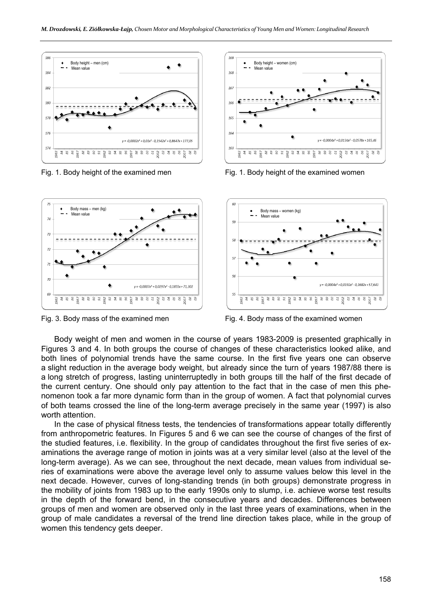



Fig. 1. Body height of the examined men Fig. 1. Body height of the examined women



Fig. 3. Body mass of the examined men Fig. 4. Body mass of the examined women

Body weight of men and women in the course of years 1983-2009 is presented graphically in Figures 3 and 4. In both groups the course of changes of these characteristics looked alike, and both lines of polynomial trends have the same course. In the first five years one can observe a slight reduction in the average body weight, but already since the turn of years 1987/88 there is a long stretch of progress, lasting uninterruptedly in both groups till the half of the first decade of the current century. One should only pay attention to the fact that in the case of men this phenomenon took a far more dynamic form than in the group of women. A fact that polynomial curves of both teams crossed the line of the long-term average precisely in the same year (1997) is also worth attention.

In the case of physical fitness tests, the tendencies of transformations appear totally differently from anthropometric features. In Figures 5 and 6 we can see the course of changes of the first of the studied features, i.e. flexibility. In the group of candidates throughout the first five series of examinations the average range of motion in joints was at a very similar level (also at the level of the long-term average). As we can see, throughout the next decade, mean values from individual series of examinations were above the average level only to assume values below this level in the next decade. However, curves of long-standing trends (in both groups) demonstrate progress in the mobility of joints from 1983 up to the early 1990s only to slump, i.e. achieve worse test results in the depth of the forward bend, in the consecutive years and decades. Differences between groups of men and women are observed only in the last three years of examinations, when in the group of male candidates a reversal of the trend line direction takes place, while in the group of women this tendency gets deeper.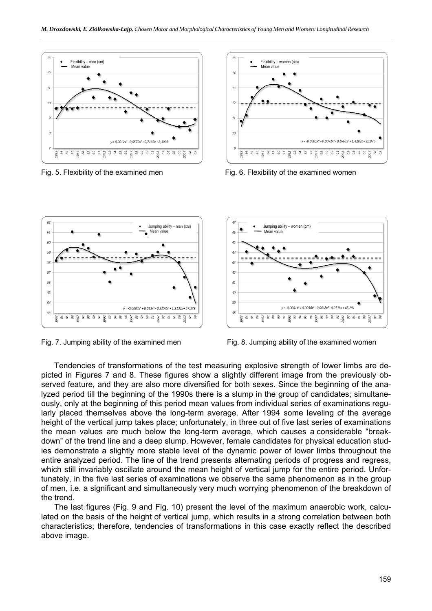



Fig. 5. Flexibility of the examined men Fig. 6. Flexibility of the examined women





Fig. 7. Jumping ability of the examined men Fig. 8. Jumping ability of the examined women

Tendencies of transformations of the test measuring explosive strength of lower limbs are depicted in Figures 7 and 8. These figures show a slightly different image from the previously observed feature, and they are also more diversified for both sexes. Since the beginning of the analyzed period till the beginning of the 1990s there is a slump in the group of candidates; simultaneously, only at the beginning of this period mean values from individual series of examinations regularly placed themselves above the long-term average. After 1994 some leveling of the average height of the vertical jump takes place; unfortunately, in three out of five last series of examinations the mean values are much below the long-term average, which causes a considerable "breakdown" of the trend line and a deep slump. However, female candidates for physical education studies demonstrate a slightly more stable level of the dynamic power of lower limbs throughout the entire analyzed period. The line of the trend presents alternating periods of progress and regress, which still invariably oscillate around the mean height of vertical jump for the entire period. Unfortunately, in the five last series of examinations we observe the same phenomenon as in the group of men, i.e. a significant and simultaneously very much worrying phenomenon of the breakdown of the trend.

The last figures (Fig. 9 and Fig. 10) present the level of the maximum anaerobic work, calculated on the basis of the height of vertical jump, which results in a strong correlation between both characteristics; therefore, tendencies of transformations in this case exactly reflect the described above image.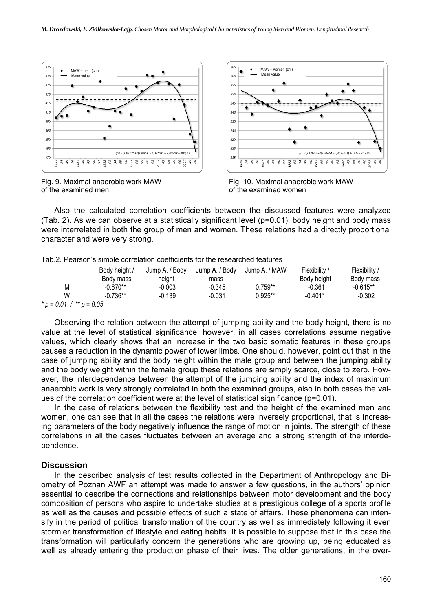

Fig. 9. Maximal anaerobic work MAW of the examined men



Fig. 10. Maximal anaerobic work MAW of the examined women

Also the calculated correlation coefficients between the discussed features were analyzed (Tab. 2). As we can observe at a statistically significant level (p=0.01), body height and body mass were interrelated in both the group of men and women. These relations had a directly proportional character and were very strong.

|   | Body height / | Jump A. / Body | Jump A. / Body | Jump A. / MAW | Flexibility / | Flexibility / |  |
|---|---------------|----------------|----------------|---------------|---------------|---------------|--|
|   | Body mass     | heiaht         | mass           |               | Body height   | Body mass     |  |
| М | $-0.670**$    | $-0.003$       | $-0.345$       | $0.759**$     | $-0.361$      | $-0.615**$    |  |
| W | $-0.736**$    | $-0.139$       | $-0.031$       | $0.925**$     | $-0.401*$     | $-0.302$      |  |

Tab.2. Pearson's simple correlation coefficients for the researched features

Observing the relation between the attempt of jumping ability and the body height, there is no value at the level of statistical significance; however, in all cases correlations assume negative values, which clearly shows that an increase in the two basic somatic features in these groups causes a reduction in the dynamic power of lower limbs. One should, however, point out that in the case of jumping ability and the body height within the male group and between the jumping ability and the body weight within the female group these relations are simply scarce, close to zero. However, the interdependence between the attempt of the jumping ability and the index of maximum anaerobic work is very strongly correlated in both the examined groups, also in both cases the values of the correlation coefficient were at the level of statistical significance (p=0.01).

In the case of relations between the flexibility test and the height of the examined men and women, one can see that in all the cases the relations were inversely proportional, that is increasing parameters of the body negatively influence the range of motion in joints. The strength of these correlations in all the cases fluctuates between an average and a strong strength of the interdependence.

#### **Discussion**

In the described analysis of test results collected in the Department of Anthropology and Biometry of Poznan AWF an attempt was made to answer a few questions, in the authors' opinion essential to describe the connections and relationships between motor development and the body composition of persons who aspire to undertake studies at a prestigious college of a sports profile as well as the causes and possible effects of such a state of affairs. These phenomena can intensify in the period of political transformation of the country as well as immediately following it even stormier transformation of lifestyle and eating habits. It is possible to suppose that in this case the transformation will particularly concern the generations who are growing up, being educated as well as already entering the production phase of their lives. The older generations, in the over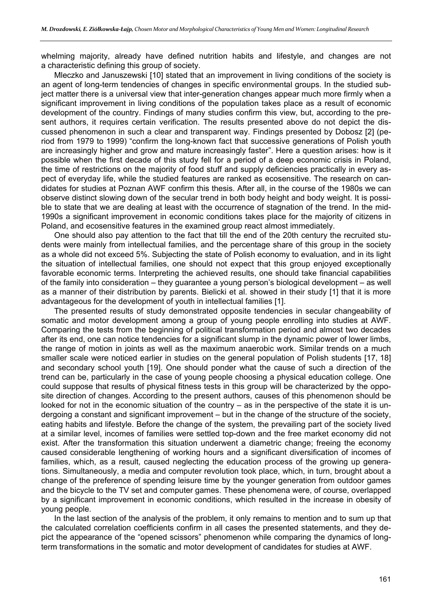whelming majority, already have defined nutrition habits and lifestyle, and changes are not a characteristic defining this group of society.

Mleczko and Januszewski [10] stated that an improvement in living conditions of the society is an agent of long-term tendencies of changes in specific environmental groups. In the studied subject matter there is a universal view that inter-generation changes appear much more firmly when a significant improvement in living conditions of the population takes place as a result of economic development of the country. Findings of many studies confirm this view, but, according to the present authors, it requires certain verification. The results presented above do not depict the discussed phenomenon in such a clear and transparent way. Findings presented by Dobosz [2] (period from 1979 to 1999) "confirm the long-known fact that successive generations of Polish youth are increasingly higher and grow and mature increasingly faster". Here a question arises: how is it possible when the first decade of this study fell for a period of a deep economic crisis in Poland, the time of restrictions on the majority of food stuff and supply deficiencies practically in every aspect of everyday life, while the studied features are ranked as ecosensitive. The research on candidates for studies at Poznan AWF confirm this thesis. After all, in the course of the 1980s we can observe distinct slowing down of the secular trend in both body height and body weight. It is possible to state that we are dealing at least with the occurrence of stagnation of the trend. In the mid-1990s a significant improvement in economic conditions takes place for the majority of citizens in Poland, and ecosensitive features in the examined group react almost immediately.

One should also pay attention to the fact that till the end of the 20th century the recruited students were mainly from intellectual families, and the percentage share of this group in the society as a whole did not exceed 5%. Subjecting the state of Polish economy to evaluation, and in its light the situation of intellectual families, one should not expect that this group enjoyed exceptionally favorable economic terms. Interpreting the achieved results, one should take financial capabilities of the family into consideration – they guarantee a young person's biological development – as well as a manner of their distribution by parents. Bielicki et al. showed in their study [1] that it is more advantageous for the development of youth in intellectual families [1].

The presented results of study demonstrated opposite tendencies in secular changeability of somatic and motor development among a group of young people enrolling into studies at AWF. Comparing the tests from the beginning of political transformation period and almost two decades after its end, one can notice tendencies for a significant slump in the dynamic power of lower limbs, the range of motion in joints as well as the maximum anaerobic work. Similar trends on a much smaller scale were noticed earlier in studies on the general population of Polish students [17, 18] and secondary school youth [19]. One should ponder what the cause of such a direction of the trend can be, particularly in the case of young people choosing a physical education college. One could suppose that results of physical fitness tests in this group will be characterized by the opposite direction of changes. According to the present authors, causes of this phenomenon should be looked for not in the economic situation of the country – as in the perspective of the state it is undergoing a constant and significant improvement – but in the change of the structure of the society, eating habits and lifestyle. Before the change of the system, the prevailing part of the society lived at a similar level, incomes of families were settled top-down and the free market economy did not exist. After the transformation this situation underwent a diametric change; freeing the economy caused considerable lengthening of working hours and a significant diversification of incomes of families, which, as a result, caused neglecting the education process of the growing up generations. Simultaneously, a media and computer revolution took place, which, in turn, brought about a change of the preference of spending leisure time by the younger generation from outdoor games and the bicycle to the TV set and computer games. These phenomena were, of course, overlapped by a significant improvement in economic conditions, which resulted in the increase in obesity of young people.

In the last section of the analysis of the problem, it only remains to mention and to sum up that the calculated correlation coefficients confirm in all cases the presented statements, and they depict the appearance of the "opened scissors" phenomenon while comparing the dynamics of longterm transformations in the somatic and motor development of candidates for studies at AWF.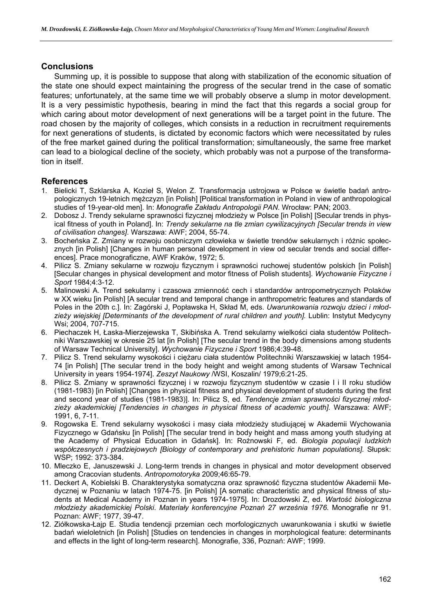### **Conclusions**

Summing up, it is possible to suppose that along with stabilization of the economic situation of the state one should expect maintaining the progress of the secular trend in the case of somatic features; unfortunately, at the same time we will probably observe a slump in motor development. It is a very pessimistic hypothesis, bearing in mind the fact that this regards a social group for which caring about motor development of next generations will be a target point in the future. The road chosen by the majority of colleges, which consists in a reduction in recruitment requirements for next generations of students, is dictated by economic factors which were necessitated by rules of the free market gained during the political transformation; simultaneously, the same free market can lead to a biological decline of the society, which probably was not a purpose of the transformation in itself.

### **References**

- 1. Bielicki T, Szklarska A, Kozieł S, Welon Z. Transformacja ustrojowa w Polsce w świetle badań antropologicznych 19-letnich mężczyzn [in Polish] [Political transformation in Poland in view of anthropological studies of 19-year-old men]. In: *Monografie Zakładu Antropologii PAN*. Wrocław: PAN; 2003.
- 2. Dobosz J. Trendy sekularne sprawności fizycznej młodzieży w Polsce [in Polish] [Secular trends in physical fitness of youth in Poland]. In: *Trendy sekularne na tle zmian cywilizacyjnych [Secular trends in view of civilisation changes]*. Warszawa: AWF; 2004, 55-74.
- 3. Bocheńska Z. Zmiany w rozwoju osobniczym człowieka w świetle trendów sekularnych i różnic społecznych [in Polish] [Changes in human personal development in view od secular trends and social differences]. Prace monograficzne, AWF Kraków, 1972; 5.
- 4. Pilicz S. Zmiany sekularne w rozwoju fizycznym i sprawności ruchowej studentów polskich [in Polish] [Secular changes in physical development and motor fitness of Polish students]. *Wychowanie Fizyczne i Sport* 1984;4:3-12.
- 5. Malinowski A. Trend sekularny i czasowa zmienność cech i standardów antropometrycznych Polaków w XX wieku [in Polish] [A secular trend and temporal change in anthropometric features and standards of Poles in the 20th c.]. In: Zagórski J, Popławska H, Skład M, eds. *Uwarunkowania rozwoju dzieci i młodzieży wiejskiej [Determinants of the development of rural children and youth].* Lublin: Instytut Medycyny Wsi; 2004, 707-715.
- 6. Piechaczek H, Łaska-Mierzejewska T, Skibińska A. Trend sekularny wielkości ciała studentów Politechniki Warszawskiej w okresie 25 lat [in Polish] [The secular trend in the body dimensions among students of Warsaw Technical University]. *Wychowanie Fizyczne i Sport* 1986;4:39-48.
- 7. Pilicz S. Trend sekularny wysokości i ciężaru ciała studentów Politechniki Warszawskiej w latach 1954- 74 [in Polish] [The secular trend in the body height and weight among students of Warsaw Technical University in years 1954-1974]. *Zeszyt Naukowy* /WSI, Koszalin/ 1979;6:21-25.
- 8. Pilicz S. Zmiany w sprawności fizycznej i w rozwoju fizycznym studentów w czasie I i II roku studiów (1981-1983) [in Polish] [Changes in physical fitness and physical development of students during the first and second year of studies (1981-1983)]. In: Pilicz S, ed. *Tendencje zmian sprawności fizycznej młodzieży akademickiej [Tendencies in changes in physical fitness of academic youth].* Warszawa: AWF; 1991, 6, 7-11.
- 9. Rogowska E. Trend sekularny wysokości i masy ciała młodzieży studiującej w Akademii Wychowania Fizycznego w Gdańsku [in Polish] [The secular trend in body height and mass among youth studying at the Academy of Physical Education in Gdańsk]. In: Rożnowski F, ed. *Biologia populacji ludzkich współczesnych i pradziejowych [Biology of contemporary and prehistoric human populations].* Słupsk: WSP; 1992: 373-384.
- 10. Mleczko E, Januszewski J. Long-term trends in changes in physical and motor development observed among Cracovian students. *Antropomotoryka* 2009;46:65-79.
- 11. Deckert A, Kobielski B. Charakterystyka somatyczna oraz sprawność fizyczna studentów Akademii Medycznej w Poznaniu w latach 1974-75. [in Polish] [A somatic characteristic and physical fitness of students at Medical Academy in Poznan in years 1974-1975]. In: Drozdowski Z, ed. *Wartość biologiczna młodzieży akademickiej Polski*. *Materiały konferencyjne Poznań 27 września 1976.* Monografie nr 91. Poznan: AWF; 1977, 39-47.
- 12. Ziółkowska-Łajp E. Studia tendencji przemian cech morfologicznych uwarunkowania i skutki w świetle badań wieloletnich [in Polish] [Studies on tendencies in changes in morphological feature: determinants and effects in the light of long-term research]. Monografie, 336, Poznań: AWF; 1999.